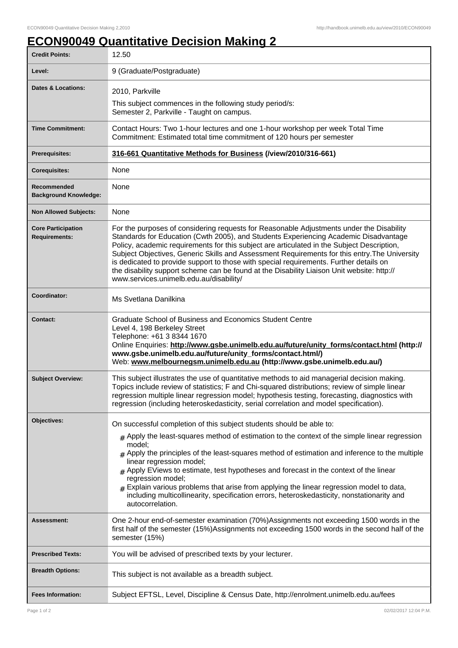## **ECON90049 Quantitative Decision Making 2**

| <b>Credit Points:</b>                             | 12.50                                                                                                                                                                                                                                                                                                                                                                                                                                                                                                                                                                                                                                                        |
|---------------------------------------------------|--------------------------------------------------------------------------------------------------------------------------------------------------------------------------------------------------------------------------------------------------------------------------------------------------------------------------------------------------------------------------------------------------------------------------------------------------------------------------------------------------------------------------------------------------------------------------------------------------------------------------------------------------------------|
| Level:                                            | 9 (Graduate/Postgraduate)                                                                                                                                                                                                                                                                                                                                                                                                                                                                                                                                                                                                                                    |
| Dates & Locations:                                | 2010, Parkville                                                                                                                                                                                                                                                                                                                                                                                                                                                                                                                                                                                                                                              |
|                                                   | This subject commences in the following study period/s:<br>Semester 2, Parkville - Taught on campus.                                                                                                                                                                                                                                                                                                                                                                                                                                                                                                                                                         |
| <b>Time Commitment:</b>                           | Contact Hours: Two 1-hour lectures and one 1-hour workshop per week Total Time<br>Commitment: Estimated total time commitment of 120 hours per semester                                                                                                                                                                                                                                                                                                                                                                                                                                                                                                      |
| Prerequisites:                                    | 316-661 Quantitative Methods for Business (/view/2010/316-661)                                                                                                                                                                                                                                                                                                                                                                                                                                                                                                                                                                                               |
| <b>Corequisites:</b>                              | None                                                                                                                                                                                                                                                                                                                                                                                                                                                                                                                                                                                                                                                         |
| Recommended<br><b>Background Knowledge:</b>       | None                                                                                                                                                                                                                                                                                                                                                                                                                                                                                                                                                                                                                                                         |
| <b>Non Allowed Subjects:</b>                      | None                                                                                                                                                                                                                                                                                                                                                                                                                                                                                                                                                                                                                                                         |
| <b>Core Participation</b><br><b>Requirements:</b> | For the purposes of considering requests for Reasonable Adjustments under the Disability<br>Standards for Education (Cwth 2005), and Students Experiencing Academic Disadvantage<br>Policy, academic requirements for this subject are articulated in the Subject Description,<br>Subject Objectives, Generic Skills and Assessment Requirements for this entry. The University<br>is dedicated to provide support to those with special requirements. Further details on<br>the disability support scheme can be found at the Disability Liaison Unit website: http://<br>www.services.unimelb.edu.au/disability/                                           |
| Coordinator:                                      | Ms Svetlana Danilkina                                                                                                                                                                                                                                                                                                                                                                                                                                                                                                                                                                                                                                        |
| <b>Contact:</b>                                   | Graduate School of Business and Economics Student Centre<br>Level 4, 198 Berkeley Street<br>Telephone: +61 3 8344 1670<br>Online Enquiries: http://www.gsbe.unimelb.edu.au/future/unity_forms/contact.html (http://<br>www.gsbe.unimelb.edu.au/future/unity_forms/contact.html/)<br>Web: www.melbournegsm.unimelb.edu.au (http://www.gsbe.unimelb.edu.au/)                                                                                                                                                                                                                                                                                                   |
| <b>Subject Overview:</b>                          | This subject illustrates the use of quantitative methods to aid managerial decision making.<br>Topics include review of statistics; F and Chi-squared distributions; review of simple linear<br>regression multiple linear regression model; hypothesis testing, forecasting, diagnostics with<br>regression (including heteroskedasticity, serial correlation and model specification).                                                                                                                                                                                                                                                                     |
| Objectives:                                       | On successful completion of this subject students should be able to:<br>$#$ Apply the least-squares method of estimation to the context of the simple linear regression<br>model:<br>$#$ Apply the principles of the least-squares method of estimation and inference to the multiple<br>linear regression model;<br>$_{\text{\#}}$ Apply EViews to estimate, test hypotheses and forecast in the context of the linear<br>regression model;<br>$#$ Explain various problems that arise from applying the linear regression model to data,<br>including multicollinearity, specification errors, heteroskedasticity, nonstationarity and<br>autocorrelation. |
| Assessment:                                       | One 2-hour end-of-semester examination (70%) Assignments not exceeding 1500 words in the<br>first half of the semester (15%)Assignments not exceeding 1500 words in the second half of the<br>semester (15%)                                                                                                                                                                                                                                                                                                                                                                                                                                                 |
| <b>Prescribed Texts:</b>                          | You will be advised of prescribed texts by your lecturer.                                                                                                                                                                                                                                                                                                                                                                                                                                                                                                                                                                                                    |
| <b>Breadth Options:</b>                           | This subject is not available as a breadth subject.                                                                                                                                                                                                                                                                                                                                                                                                                                                                                                                                                                                                          |
| <b>Fees Information:</b>                          | Subject EFTSL, Level, Discipline & Census Date, http://enrolment.unimelb.edu.au/fees                                                                                                                                                                                                                                                                                                                                                                                                                                                                                                                                                                         |